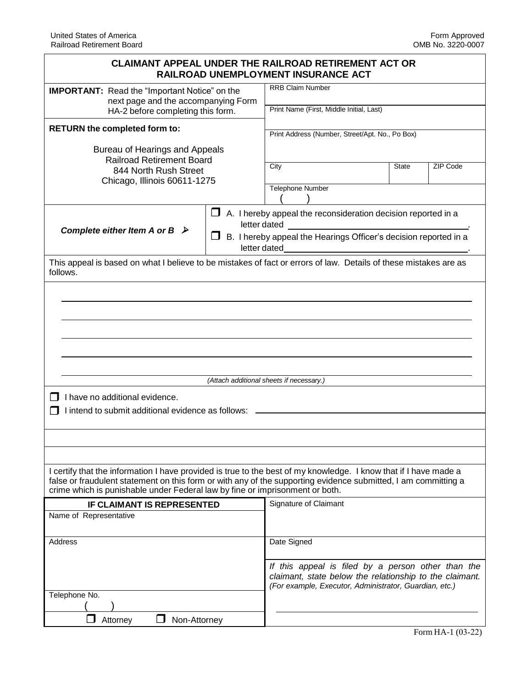| <b>CLAIMANT APPEAL UNDER THE RAILROAD RETIREMENT ACT OR</b>                                                                                                                                                                                                                                                        | RAILROAD UNEMPLOYMENT INSURANCE ACT                                                                                                                                      |                                                                                                                                                                         |
|--------------------------------------------------------------------------------------------------------------------------------------------------------------------------------------------------------------------------------------------------------------------------------------------------------------------|--------------------------------------------------------------------------------------------------------------------------------------------------------------------------|-------------------------------------------------------------------------------------------------------------------------------------------------------------------------|
| <b>IMPORTANT:</b> Read the "Important Notice" on the<br>next page and the accompanying Form                                                                                                                                                                                                                        | <b>RRB Claim Number</b>                                                                                                                                                  |                                                                                                                                                                         |
| HA-2 before completing this form.                                                                                                                                                                                                                                                                                  | Print Name (First, Middle Initial, Last)                                                                                                                                 |                                                                                                                                                                         |
| <b>RETURN the completed form to:</b>                                                                                                                                                                                                                                                                               | Print Address (Number, Street/Apt. No., Po Box)                                                                                                                          |                                                                                                                                                                         |
| Bureau of Hearings and Appeals<br><b>Railroad Retirement Board</b><br>844 North Rush Street<br>Chicago, Illinois 60611-1275                                                                                                                                                                                        | City                                                                                                                                                                     | <b>State</b><br>ZIP Code                                                                                                                                                |
|                                                                                                                                                                                                                                                                                                                    | <b>Telephone Number</b>                                                                                                                                                  |                                                                                                                                                                         |
| Complete either Item A or B $\triangleright$                                                                                                                                                                                                                                                                       | $\Box$ A. I hereby appeal the reconsideration decision reported in a<br>letter dated<br>B. I hereby appeal the Hearings Officer's decision reported in a<br>letter dated |                                                                                                                                                                         |
| This appeal is based on what I believe to be mistakes of fact or errors of law. Details of these mistakes are as<br>follows.                                                                                                                                                                                       |                                                                                                                                                                          |                                                                                                                                                                         |
|                                                                                                                                                                                                                                                                                                                    |                                                                                                                                                                          |                                                                                                                                                                         |
|                                                                                                                                                                                                                                                                                                                    |                                                                                                                                                                          |                                                                                                                                                                         |
|                                                                                                                                                                                                                                                                                                                    |                                                                                                                                                                          |                                                                                                                                                                         |
|                                                                                                                                                                                                                                                                                                                    |                                                                                                                                                                          |                                                                                                                                                                         |
|                                                                                                                                                                                                                                                                                                                    |                                                                                                                                                                          |                                                                                                                                                                         |
|                                                                                                                                                                                                                                                                                                                    | (Attach additional sheets if necessary.)                                                                                                                                 |                                                                                                                                                                         |
| I have no additional evidence.                                                                                                                                                                                                                                                                                     |                                                                                                                                                                          |                                                                                                                                                                         |
| I intend to submit additional evidence as follows:                                                                                                                                                                                                                                                                 |                                                                                                                                                                          |                                                                                                                                                                         |
|                                                                                                                                                                                                                                                                                                                    |                                                                                                                                                                          |                                                                                                                                                                         |
|                                                                                                                                                                                                                                                                                                                    |                                                                                                                                                                          |                                                                                                                                                                         |
| I certify that the information I have provided is true to the best of my knowledge. I know that if I have made a<br>false or fraudulent statement on this form or with any of the supporting evidence submitted, I am committing a<br>crime which is punishable under Federal law by fine or imprisonment or both. |                                                                                                                                                                          |                                                                                                                                                                         |
| <b>IF CLAIMANT IS REPRESENTED</b>                                                                                                                                                                                                                                                                                  | Signature of Claimant                                                                                                                                                    |                                                                                                                                                                         |
| Name of Representative                                                                                                                                                                                                                                                                                             |                                                                                                                                                                          |                                                                                                                                                                         |
| Address                                                                                                                                                                                                                                                                                                            | Date Signed                                                                                                                                                              |                                                                                                                                                                         |
|                                                                                                                                                                                                                                                                                                                    |                                                                                                                                                                          | If this appeal is filed by a person other than the<br>claimant, state below the relationship to the claimant.<br>(For example, Executor, Administrator, Guardian, etc.) |
| Telephone No.                                                                                                                                                                                                                                                                                                      |                                                                                                                                                                          |                                                                                                                                                                         |
| Attorney<br>Non-Attorney                                                                                                                                                                                                                                                                                           |                                                                                                                                                                          |                                                                                                                                                                         |